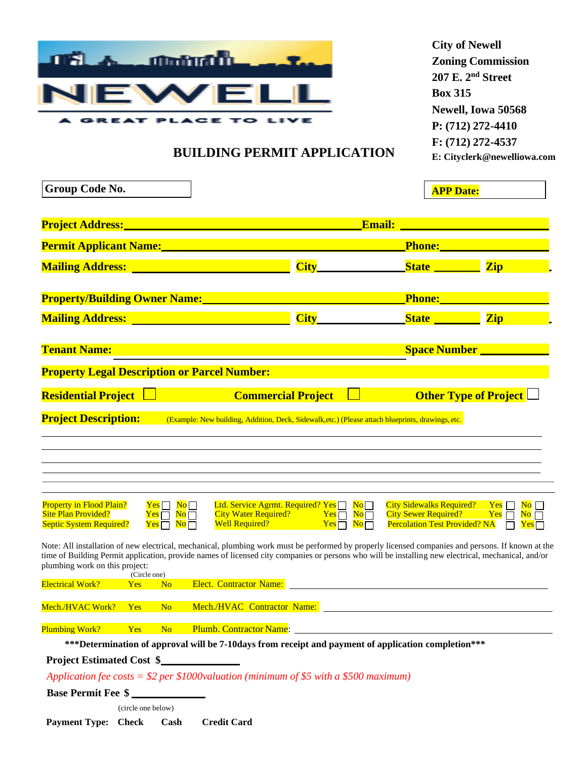

**City of Newell Zoning Commission 207 E. 2 nd Street Box 315 Newell, Iowa 50568 P: (712) 272-4410 F: (712) 272-4537 E: [Cityclerk@newelliowa.com](mailto:Cityclerk@newelliowa.com)**

## **BUILDING PERMIT APPLICATION**

| Group Code No.                                                                                                                                                               | <b>APP Date:</b>                                                                                                                                                                                                                                                                                                                                                                                                                                                                                                                                                                                                                                                                                                                     |                                                                                                           |                                                                              |  |
|------------------------------------------------------------------------------------------------------------------------------------------------------------------------------|--------------------------------------------------------------------------------------------------------------------------------------------------------------------------------------------------------------------------------------------------------------------------------------------------------------------------------------------------------------------------------------------------------------------------------------------------------------------------------------------------------------------------------------------------------------------------------------------------------------------------------------------------------------------------------------------------------------------------------------|-----------------------------------------------------------------------------------------------------------|------------------------------------------------------------------------------|--|
|                                                                                                                                                                              | Project Address: National Address: National Address: National Address: National Address: National Address: National Address: National Address: National Address: National Address: National Address: National Address: Nationa                                                                                                                                                                                                                                                                                                                                                                                                                                                                                                       | <b>Email:</b> <u>________________________</u>                                                             |                                                                              |  |
|                                                                                                                                                                              | Permit Applicant Name: Name and Applicant Name and Applicant Name and Applicant Application of the Application                                                                                                                                                                                                                                                                                                                                                                                                                                                                                                                                                                                                                       |                                                                                                           | Phone: Management of Phone:                                                  |  |
| <b>Mailing Address:</b> <u>National Contract of Contract of Contract of Contract of Contract of Contract of Contract of Co</u>                                               | $City$ and $City$                                                                                                                                                                                                                                                                                                                                                                                                                                                                                                                                                                                                                                                                                                                    | State <b>State</b>                                                                                        | <b>Zip</b>                                                                   |  |
|                                                                                                                                                                              | <b>Property/Building Owner Name:</b> 2008 2010 2021 2022                                                                                                                                                                                                                                                                                                                                                                                                                                                                                                                                                                                                                                                                             | Phone: 2008                                                                                               |                                                                              |  |
| <b>Mailing Address:</b> <u>_____________________________</u>                                                                                                                 | City                                                                                                                                                                                                                                                                                                                                                                                                                                                                                                                                                                                                                                                                                                                                 | State <u>State</u>                                                                                        | <b>Zip</b>                                                                   |  |
| <b>Tenant Name:</b>                                                                                                                                                          |                                                                                                                                                                                                                                                                                                                                                                                                                                                                                                                                                                                                                                                                                                                                      |                                                                                                           | <b>Space Number __________</b>                                               |  |
| <b>Property Legal Description or Parcel Number:</b>                                                                                                                          |                                                                                                                                                                                                                                                                                                                                                                                                                                                                                                                                                                                                                                                                                                                                      |                                                                                                           |                                                                              |  |
| <b>Residential Project Letter and Series</b>                                                                                                                                 | <b>Commercial Project</b>                                                                                                                                                                                                                                                                                                                                                                                                                                                                                                                                                                                                                                                                                                            |                                                                                                           | <b>Other Type of Project</b>                                                 |  |
| <b>Project Description:</b>                                                                                                                                                  | (Example: New building, Addition, Deck, Sidewalk, etc.) (Please attach blueprints, drawings, etc.                                                                                                                                                                                                                                                                                                                                                                                                                                                                                                                                                                                                                                    |                                                                                                           |                                                                              |  |
| <b>Property in Flood Plain?</b><br>$Yes \Box No \Box$<br><b>Site Plan Provided?</b><br>$Yes \Box No \overline{\Box}$<br>$Yes \Box No \Box$<br><b>Septic System Required?</b> | Ltd. Service Agrmt. Required? Yes $\Box$ No $\Box$<br>City Water Required? $Yes$ $\overline{N}$ $\overline{N}$ $\overline{N}$ $\overline{N}$ $\overline{N}$ $\overline{N}$ $\overline{N}$ $\overline{N}$ $\overline{N}$ $\overline{N}$ $\overline{N}$ $\overline{N}$ $\overline{N}$ $\overline{N}$ $\overline{N}$ $\overline{N}$ $\overline{N}$ $\overline{N}$ $\overline{N}$ $\overline{N}$ $\overline{N}$ $\overline{N$<br>Note: All installation of new electrical, mechanical, plumbing work must be performed by properly licensed companies and persons. If known at the<br>time of Building Permit application, provide names of licensed city companies or persons who will be installing new electrical, mechanical, and/or | City Sidewalks Required? Yes<br>$City$ Sewer Required? Yes $\Box$<br><b>Percolation Test Provided? NA</b> | $\overline{\text{No}}$ $\Box$<br>$\overline{\text{No}}$ $\Box$<br>$Yes \Box$ |  |
| plumbing work on this project:<br>(Circle one)                                                                                                                               |                                                                                                                                                                                                                                                                                                                                                                                                                                                                                                                                                                                                                                                                                                                                      |                                                                                                           |                                                                              |  |
| <b>Electrical Work?</b><br>N <sub>o</sub><br><b>Example Street Yes</b>                                                                                                       | <b>Elect. Contractor Name:</b>                                                                                                                                                                                                                                                                                                                                                                                                                                                                                                                                                                                                                                                                                                       |                                                                                                           |                                                                              |  |
|                                                                                                                                                                              | Mech./HVAC Work? Yes No Mech./HVAC Contractor Name: ____________________________                                                                                                                                                                                                                                                                                                                                                                                                                                                                                                                                                                                                                                                     |                                                                                                           |                                                                              |  |
| <b>Plumbing Work?</b><br>and the state of the state of the state of the state of the state of the state of the state of the state of th<br><b>Project Estimated Cost \$</b>  | Yes No Plumb. Contractor Name: 2008. 2009. 2010. 2010. 2010. 2010. 2010. 2011. 2012. 2013. 2014. 2016. 2017. 20<br>***Determination of approval will be 7-10days from receipt and payment of application completion***                                                                                                                                                                                                                                                                                                                                                                                                                                                                                                               |                                                                                                           |                                                                              |  |
|                                                                                                                                                                              | Application fee costs = $$2$ per \$1000 valuation (minimum of \$5 with a \$500 maximum)                                                                                                                                                                                                                                                                                                                                                                                                                                                                                                                                                                                                                                              |                                                                                                           |                                                                              |  |
| Base Permit Fee \$                                                                                                                                                           |                                                                                                                                                                                                                                                                                                                                                                                                                                                                                                                                                                                                                                                                                                                                      |                                                                                                           |                                                                              |  |
| (circle one below)                                                                                                                                                           |                                                                                                                                                                                                                                                                                                                                                                                                                                                                                                                                                                                                                                                                                                                                      |                                                                                                           |                                                                              |  |

**Payment Type: Check Cash Credit Card**